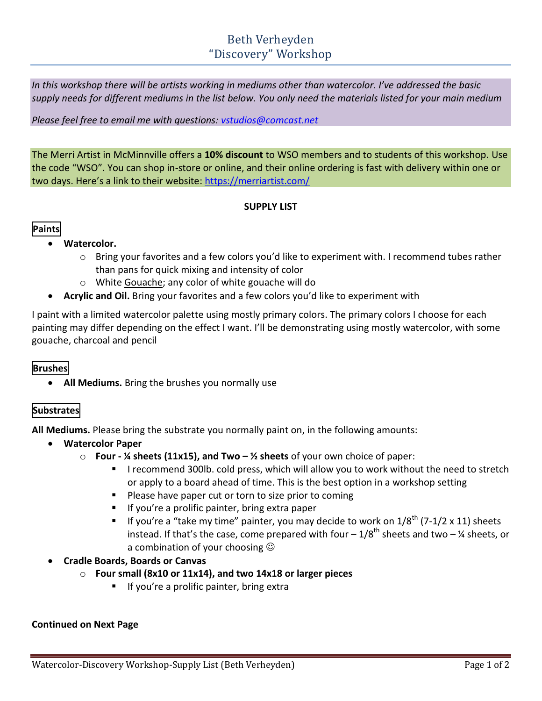# Beth Verheyden "Discovery" Workshop

*In this workshop there will be artists working in mediums other than watercolor. I've addressed the basic supply needs for different mediums in the list below. You only need the materials listed for your main medium*

#### *Please feel free to email me with questions: [vstudios@comcast.net](mailto:vstudios@comcast.net)*

The Merri Artist in McMinnville offers a **10% discount** to WSO members and to students of this workshop. Use the code "WSO". You can shop in-store or online, and their online ordering is fast with delivery within one or two days. Here's a link to their website: <https://merriartist.com/>

#### **SUPPLY LIST**

## **Paints**

## **Watercolor.**

- $\circ$  Bring your favorites and a few colors you'd like to experiment with. I recommend tubes rather than pans for quick mixing and intensity of color
- o White Gouache; any color of white gouache will do
- **Acrylic and Oil.** Bring your favorites and a few colors you'd like to experiment with

I paint with a limited watercolor palette using mostly primary colors. The primary colors I choose for each painting may differ depending on the effect I want. I'll be demonstrating using mostly watercolor, with some gouache, charcoal and pencil

# **Brushes**

**All Mediums.** Bring the brushes you normally use

# **Substrates**

**All Mediums.** Please bring the substrate you normally paint on, in the following amounts:

- **Watercolor Paper**
	- o **Four - ¼ sheets (11x15), and Two – ½ sheets** of your own choice of paper:
		- I recommend 300lb. cold press, which will allow you to work without the need to stretch or apply to a board ahead of time. This is the best option in a workshop setting
		- **Please have paper cut or torn to size prior to coming**
		- $\blacksquare$  If you're a prolific painter, bring extra paper
		- If you're a "take my time" painter, you may decide to work on  $1/8^{th}$  (7-1/2 x 11) sheets instead. If that's the case, come prepared with four  $-1/8^{th}$  sheets and two  $-$  <sup>1</sup>/<sub>4</sub> sheets, or a combination of your choosing  $\odot$
- **Cradle Boards, Boards or Canvas** 
	- o **Four small (8x10 or 11x14), and two 14x18 or larger pieces**
		- If you're a prolific painter, bring extra

#### **Continued on Next Page**